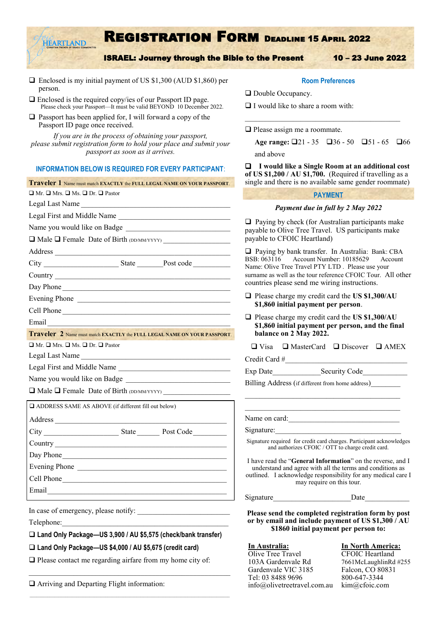# Registration Form Deadline 15 April 2022

ISRAEL: Journey through the Bible to the Present 10 – 23 June 2022

- ❑ Enclosed is my initial payment of US \$1,300 (AUD \$1,860) per person.
- ❑ Enclosed is the required copy/ies of our Passport ID page. Please check your Passport—It must be valid BEYOND 10 December 2022.
- ❑ Passport has been applied for, I will forward a copy of the Passport ID page once received.

EARTLANI

*If you are in the process of obtaining your passport, please submit registration form to hold your place and submit your passport as soon as it arrives.*

#### **INFORMATION BELOW IS REQUIRED FOR EVERY PARTICIPANT**:

| Traveler 1 Name must match EXACTLY the FULL LEGAL NAME ON YOUR PASSPORT.                                                                                                                                                       |  |  |  |  |  |
|--------------------------------------------------------------------------------------------------------------------------------------------------------------------------------------------------------------------------------|--|--|--|--|--|
| $\Box$ Mr. $\Box$ Mrs. $\Box$ Ms. $\Box$ Dr. $\Box$ Pastor                                                                                                                                                                     |  |  |  |  |  |
| Legal Last Name                                                                                                                                                                                                                |  |  |  |  |  |
| Legal First and Middle Name                                                                                                                                                                                                    |  |  |  |  |  |
|                                                                                                                                                                                                                                |  |  |  |  |  |
| □ Male □ Female Date of Birth (DD/MM/YYYY)                                                                                                                                                                                     |  |  |  |  |  |
|                                                                                                                                                                                                                                |  |  |  |  |  |
|                                                                                                                                                                                                                                |  |  |  |  |  |
|                                                                                                                                                                                                                                |  |  |  |  |  |
| Day Phone                                                                                                                                                                                                                      |  |  |  |  |  |
| Evening Phone                                                                                                                                                                                                                  |  |  |  |  |  |
| Cell Phone                                                                                                                                                                                                                     |  |  |  |  |  |
| Email Property of the contract of the contract of the contract of the contract of the contract of the contract of the contract of the contract of the contract of the contract of the contract of the contract of the contract |  |  |  |  |  |
| Traveler 2 Name must match EXACTLY the FULL LEGAL NAME ON YOUR PASSPORT.                                                                                                                                                       |  |  |  |  |  |
| $\Box$ Mr. $\Box$ Mrs. $\Box$ Ms. $\Box$ Dr. $\Box$ Pastor                                                                                                                                                                     |  |  |  |  |  |
| Legal Last Name                                                                                                                                                                                                                |  |  |  |  |  |
| Legal First and Middle Name                                                                                                                                                                                                    |  |  |  |  |  |
|                                                                                                                                                                                                                                |  |  |  |  |  |
| Male T Female Date of Birth (DD/MM/YYYY)                                                                                                                                                                                       |  |  |  |  |  |
| ADDRESS SAME AS ABOVE (if different fill out below)                                                                                                                                                                            |  |  |  |  |  |
|                                                                                                                                                                                                                                |  |  |  |  |  |
|                                                                                                                                                                                                                                |  |  |  |  |  |
|                                                                                                                                                                                                                                |  |  |  |  |  |
| Day Phone                                                                                                                                                                                                                      |  |  |  |  |  |
| Evening Phone                                                                                                                                                                                                                  |  |  |  |  |  |
| Cell Phone                                                                                                                                                                                                                     |  |  |  |  |  |
| Email <u>Communication</u>                                                                                                                                                                                                     |  |  |  |  |  |
|                                                                                                                                                                                                                                |  |  |  |  |  |

In case of emergency, please notify:

Telephone:

❑ **Land Only Package—US 3,900 / AU \$5,575 (check/bank transfer)**

❑ **Land Only Package—US \$4,000 / AU \$5,675 (credit card)**

❑ Please contact me regarding airfare from my home city of:

❑ Arriving and Departing Flight information:

#### **Room Preferences**

 $\mathcal{L}_\text{max}$ 

❑ Double Occupancy.

❑ I would like to share a room with:

❑ Please assign me a roommate.

Age range: □21 - 35 □36 - 50 □51 - 65 □66 and above

❑ **I would like a Single Room at an additional cost of US \$1,200 / AU \$1,700.** (Required if travelling as a single and there is no available same gender roommate)

#### **PAYMENT**

#### *Payment due in full by 2 May 2022*

 $\Box$  Paying by check (for Australian participants make payable to Olive Tree Travel. US participants make payable to CFOIC Heartland)

❑ Paying by bank transfer. In Australia: Bank: CBA BSB: 063116 Account Number: 10185629 Account Name: Olive Tree Travel PTY LTD . Please use your surname as well as the tour reference CFOIC Tour. All other countries please send me wiring instructions.

- ❑ Please charge my credit card the **US \$1,300/AU \$1,860 initial payment per person**.
- ❑ Please charge my credit card the **US \$1,300/AU \$1,860 initial payment per person, and the final balance on 2 May 2022.**

|  | $\Box$ Visa $\Box$ MasterCard $\Box$ Discover $\Box$ AMEX |  |  |
|--|-----------------------------------------------------------|--|--|
|--|-----------------------------------------------------------|--|--|

Credit Card #\_\_\_\_\_\_\_\_\_\_\_\_\_\_\_\_\_\_\_\_\_\_\_\_\_\_\_\_\_\_\_\_\_

Exp Date Security Code

Billing Address (if different from home address)

Name on card:

Signature:

Signature required for credit card charges. Participant acknowledges and authorizes CFOIC / OTT to charge credit card.

\_\_\_\_\_\_\_\_\_\_\_\_\_\_\_\_\_\_\_\_\_\_\_\_\_\_\_\_\_\_\_\_\_\_\_\_\_\_\_\_\_\_

I have read the "**General Information**" on the reverse, and I understand and agree with all the terms and conditions as outlined. I acknowledge responsibility for any medical care I may require on this tour.

Signature Date

**Please send the completed registration form by post or by email and include payment of US \$1,300 / AU \$1860 initial payment per person to:**

**In Australia: In North America:** Olive Tree Travel **CFOIC Heartland** 103A Gardenvale Rd 7661McLaughlinRd #255 Gardenvale VIC 3185 Falcon, CO 80831 Tel: 03 8488 9696 800-647-3344 info@olivetreetravel.com.au kim@cfoic.com